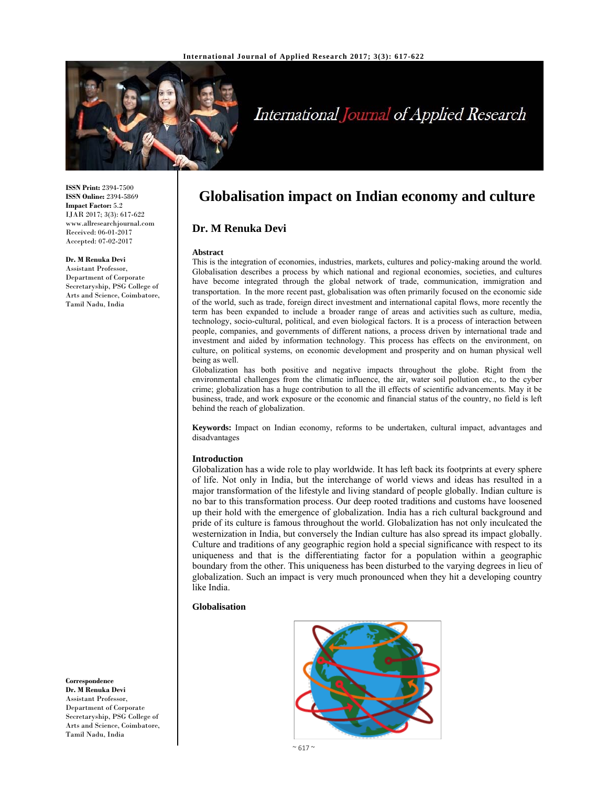

# International Journal of Applied Research

**ISSN Print:** 2394-7500 **ISSN Online:** 2394-5869 **Impact Factor:** 5.2 IJAR 2017; 3(3): 617-622 www.allresearchjournal.com Received: 06-01-2017 Accepted: 07-02-2017

#### **Dr. M Renuka Devi**

Assistant Professor, Department of Corporate Secretaryship, PSG College of Arts and Science, Coimbatore, Tamil Nadu, India

**Globalisation impact on Indian economy and culture**

# **Dr. M Renuka Devi**

#### **Abstract**

This is the integration of economies, industries, markets, cultures and policy-making around the world. Globalisation describes a process by which national and regional economies, societies, and cultures have become integrated through the global network of trade, communication, immigration and transportation. In the more recent past, globalisation was often primarily focused on the economic side of the world, such as trade, foreign direct investment and international capital flows, more recently the term has been expanded to include a broader range of areas and activities such as culture, media, technology, socio-cultural, political, and even biological factors. It is a process of interaction between people, companies, and governments of different nations, a process driven by international trade and investment and aided by information technology. This process has effects on the environment, on culture, on political systems, on economic development and prosperity and on human physical well being as well.

Globalization has both positive and negative impacts throughout the globe. Right from the environmental challenges from the climatic influence, the air, water soil pollution etc., to the cyber crime; globalization has a huge contribution to all the ill effects of scientific advancements. May it be business, trade, and work exposure or the economic and financial status of the country, no field is left behind the reach of globalization.

**Keywords:** Impact on Indian economy, reforms to be undertaken, cultural impact, advantages and disadvantages

#### **Introduction**

Globalization has a wide role to play worldwide. It has left back its footprints at every sphere of life. Not only in India, but the interchange of world views and ideas has resulted in a major transformation of the lifestyle and living standard of people globally. Indian culture is no bar to this transformation process. Our deep rooted traditions and customs have loosened up their hold with the emergence of globalization. India has a rich cultural background and pride of its culture is famous throughout the world. Globalization has not only inculcated the westernization in India, but conversely the Indian culture has also spread its impact globally. Culture and traditions of any geographic region hold a special significance with respect to its uniqueness and that is the differentiating factor for a population within a geographic boundary from the other. This uniqueness has been disturbed to the varying degrees in lieu of globalization. Such an impact is very much pronounced when they hit a developing country like India.

# **Globalisation**

**Correspondence Dr. M Renuka Devi**  Assistant Professor, Department of Corporate Secretaryship, PSG College of Arts and Science, Coimbatore, Tamil Nadu, India



 $~3$  617 $~3$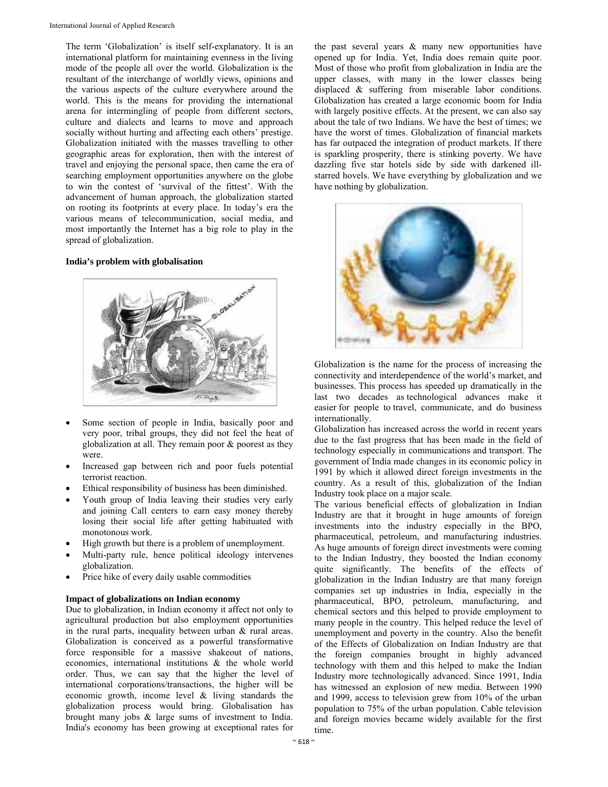The term 'Globalization' is itself self-explanatory. It is an international platform for maintaining evenness in the living mode of the people all over the world. Globalization is the resultant of the interchange of worldly views, opinions and the various aspects of the culture everywhere around the world. This is the means for providing the international arena for intermingling of people from different sectors, culture and dialects and learns to move and approach socially without hurting and affecting each others' prestige. Globalization initiated with the masses travelling to other geographic areas for exploration, then with the interest of travel and enjoying the personal space, then came the era of searching employment opportunities anywhere on the globe to win the contest of 'survival of the fittest'. With the advancement of human approach, the globalization started on rooting its footprints at every place. In today's era the various means of telecommunication, social media, and most importantly the Internet has a big role to play in the spread of globalization.

#### **India's problem with globalisation**



- Some section of people in India, basically poor and very poor, tribal groups, they did not feel the heat of globalization at all. They remain poor & poorest as they were.
- Increased gap between rich and poor fuels potential terrorist reaction.
- Ethical responsibility of business has been diminished.
- Youth group of India leaving their studies very early and joining Call centers to earn easy money thereby losing their social life after getting habituated with monotonous work.
- High growth but there is a problem of unemployment.
- Multi-party rule, hence political ideology intervenes globalization.
- Price hike of every daily usable commodities

#### **Impact of globalizations on Indian economy**

Due to globalization, in Indian economy it affect not only to agricultural production but also employment opportunities in the rural parts, inequality between urban & rural areas. Globalization is conceived as a powerful transformative force responsible for a massive shakeout of nations, economies, international institutions & the whole world order. Thus, we can say that the higher the level of international corporations/transactions, the higher will be economic growth, income level & living standards the globalization process would bring. Globalisation has brought many jobs & large sums of investment to India. India's economy has been growing at exceptional rates for

the past several years & many new opportunities have opened up for India. Yet, India does remain quite poor. Most of those who profit from globalization in India are the upper classes, with many in the lower classes being displaced & suffering from miserable labor conditions. Globalization has created a large economic boom for India with largely positive effects. At the present, we can also say about the tale of two Indians. We have the best of times; we have the worst of times. Globalization of financial markets has far outpaced the integration of product markets. If there is sparkling prosperity, there is stinking poverty. We have dazzling five star hotels side by side with darkened illstarred hovels. We have everything by globalization and we have nothing by globalization.



Globalization is the name for the process of increasing the connectivity and interdependence of the world's market, and businesses. This process has speeded up dramatically in the last two decades as technological advances make it easier for people to travel, communicate, and do business internationally.

Globalization has increased across the world in recent years due to the fast progress that has been made in the field of technology especially in communications and transport. The government of India made changes in its economic policy in 1991 by which it allowed direct foreign investments in the country. As a result of this, globalization of the Indian Industry took place on a major scale.

The various beneficial effects of globalization in Indian Industry are that it brought in huge amounts of foreign investments into the industry especially in the BPO, pharmaceutical, petroleum, and manufacturing industries. As huge amounts of foreign direct investments were coming to the Indian Industry, they boosted the Indian economy quite significantly. The benefits of the effects of globalization in the Indian Industry are that many foreign companies set up industries in India, especially in the pharmaceutical, BPO, petroleum, manufacturing, and chemical sectors and this helped to provide employment to many people in the country. This helped reduce the level of unemployment and poverty in the country. Also the benefit of the Effects of Globalization on Indian Industry are that the foreign companies brought in highly advanced technology with them and this helped to make the Indian Industry more technologically advanced. Since 1991, India has witnessed an explosion of new media. Between 1990 and 1999, access to television grew from 10% of the urban population to 75% of the urban population. Cable television and foreign movies became widely available for the first time.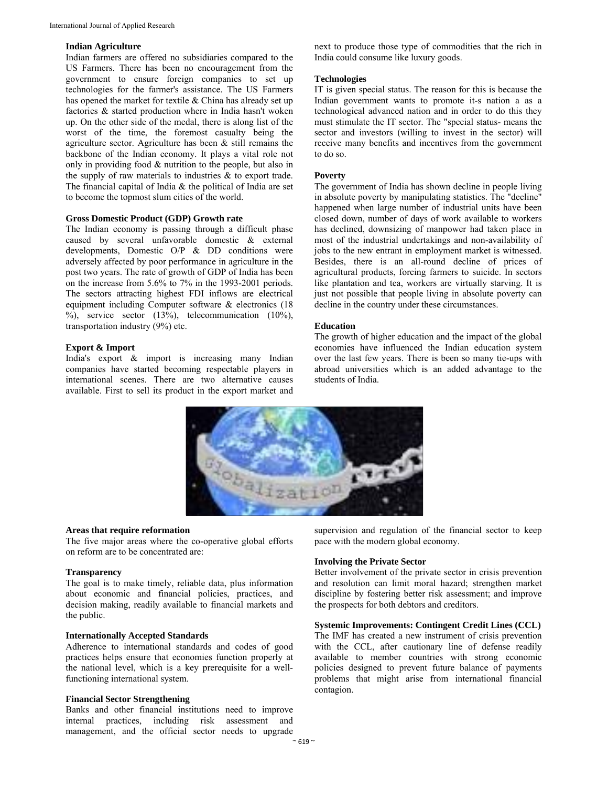#### **Indian Agriculture**

Indian farmers are offered no subsidiaries compared to the US Farmers. There has been no encouragement from the government to ensure foreign companies to set up technologies for the farmer's assistance. The US Farmers has opened the market for textile & China has already set up factories & started production where in India hasn't woken up. On the other side of the medal, there is along list of the worst of the time, the foremost casualty being the agriculture sector. Agriculture has been  $\&$  still remains the backbone of the Indian economy. It plays a vital role not only in providing food & nutrition to the people, but also in the supply of raw materials to industries & to export trade. The financial capital of India & the political of India are set to become the topmost slum cities of the world.

# **Gross Domestic Product (GDP) Growth rate**

The Indian economy is passing through a difficult phase caused by several unfavorable domestic & external developments, Domestic O/P & DD conditions were adversely affected by poor performance in agriculture in the post two years. The rate of growth of GDP of India has been on the increase from 5.6% to 7% in the 1993-2001 periods. The sectors attracting highest FDI inflows are electrical equipment including Computer software & electronics (18 %), service sector (13%), telecommunication (10%), transportation industry (9%) etc.

#### **Export & Import**

India's export & import is increasing many Indian companies have started becoming respectable players in international scenes. There are two alternative causes available. First to sell its product in the export market and

next to produce those type of commodities that the rich in India could consume like luxury goods.

#### **Technologies**

IT is given special status. The reason for this is because the Indian government wants to promote it-s nation a as a technological advanced nation and in order to do this they must stimulate the IT sector. The "special status- means the sector and investors (willing to invest in the sector) will receive many benefits and incentives from the government to do so.

## **Poverty**

The government of India has shown decline in people living in absolute poverty by manipulating statistics. The "decline" happened when large number of industrial units have been closed down, number of days of work available to workers has declined, downsizing of manpower had taken place in most of the industrial undertakings and non-availability of jobs to the new entrant in employment market is witnessed. Besides, there is an all-round decline of prices of agricultural products, forcing farmers to suicide. In sectors like plantation and tea, workers are virtually starving. It is just not possible that people living in absolute poverty can decline in the country under these circumstances.

#### **Education**

The growth of higher education and the impact of the global economies have influenced the Indian education system over the last few years. There is been so many tie-ups with abroad universities which is an added advantage to the students of India.



## **Areas that require reformation**

The five major areas where the co-operative global efforts on reform are to be concentrated are:

#### **Transparency**

The goal is to make timely, reliable data, plus information about economic and financial policies, practices, and decision making, readily available to financial markets and the public.

#### **Internationally Accepted Standards**

Adherence to international standards and codes of good practices helps ensure that economies function properly at the national level, which is a key prerequisite for a wellfunctioning international system.

#### **Financial Sector Strengthening**

Banks and other financial institutions need to improve internal practices, including risk assessment and management, and the official sector needs to upgrade

supervision and regulation of the financial sector to keep pace with the modern global economy.

#### **Involving the Private Sector**

Better involvement of the private sector in crisis prevention and resolution can limit moral hazard; strengthen market discipline by fostering better risk assessment; and improve the prospects for both debtors and creditors.

# **Systemic Improvements: Contingent Credit Lines (CCL)**

The IMF has created a new instrument of crisis prevention with the CCL, after cautionary line of defense readily available to member countries with strong economic policies designed to prevent future balance of payments problems that might arise from international financial contagion.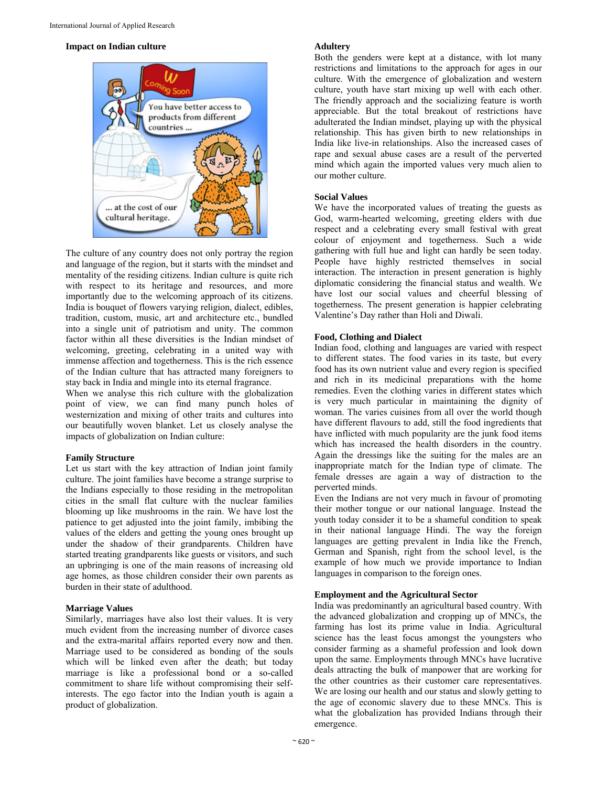#### **Impact on Indian culture**



The culture of any country does not only portray the region and language of the region, but it starts with the mindset and mentality of the residing citizens. Indian culture is quite rich with respect to its heritage and resources, and more importantly due to the welcoming approach of its citizens. India is bouquet of flowers varying religion, dialect, edibles, tradition, custom, music, art and architecture etc., bundled into a single unit of patriotism and unity. The common factor within all these diversities is the Indian mindset of welcoming, greeting, celebrating in a united way with immense affection and togetherness. This is the rich essence of the Indian culture that has attracted many foreigners to stay back in India and mingle into its eternal fragrance.

When we analyse this rich culture with the globalization point of view, we can find many punch holes of westernization and mixing of other traits and cultures into our beautifully woven blanket. Let us closely analyse the impacts of globalization on Indian culture:

#### **Family Structure**

Let us start with the key attraction of Indian joint family culture. The joint families have become a strange surprise to the Indians especially to those residing in the metropolitan cities in the small flat culture with the nuclear families blooming up like mushrooms in the rain. We have lost the patience to get adjusted into the joint family, imbibing the values of the elders and getting the young ones brought up under the shadow of their grandparents. Children have started treating grandparents like guests or visitors, and such an upbringing is one of the main reasons of increasing old age homes, as those children consider their own parents as burden in their state of adulthood.

#### **Marriage Values**

Similarly, marriages have also lost their values. It is very much evident from the increasing number of divorce cases and the extra-marital affairs reported every now and then. Marriage used to be considered as bonding of the souls which will be linked even after the death; but today marriage is like a professional bond or a so-called commitment to share life without compromising their selfinterests. The ego factor into the Indian youth is again a product of globalization.

#### **Adultery**

Both the genders were kept at a distance, with lot many restrictions and limitations to the approach for ages in our culture. With the emergence of globalization and western culture, youth have start mixing up well with each other. The friendly approach and the socializing feature is worth appreciable. But the total breakout of restrictions have adulterated the Indian mindset, playing up with the physical relationship. This has given birth to new relationships in India like live-in relationships. Also the increased cases of rape and sexual abuse cases are a result of the perverted mind which again the imported values very much alien to our mother culture.

# **Social Values**

We have the incorporated values of treating the guests as God, warm-hearted welcoming, greeting elders with due respect and a celebrating every small festival with great colour of enjoyment and togetherness. Such a wide gathering with full hue and light can hardly be seen today. People have highly restricted themselves in social interaction. The interaction in present generation is highly diplomatic considering the financial status and wealth. We have lost our social values and cheerful blessing of togetherness. The present generation is happier celebrating Valentine's Day rather than Holi and Diwali.

## **Food, Clothing and Dialect**

Indian food, clothing and languages are varied with respect to different states. The food varies in its taste, but every food has its own nutrient value and every region is specified and rich in its medicinal preparations with the home remedies. Even the clothing varies in different states which is very much particular in maintaining the dignity of woman. The varies cuisines from all over the world though have different flavours to add, still the food ingredients that have inflicted with much popularity are the junk food items which has increased the health disorders in the country. Again the dressings like the suiting for the males are an inappropriate match for the Indian type of climate. The female dresses are again a way of distraction to the perverted minds.

Even the Indians are not very much in favour of promoting their mother tongue or our national language. Instead the youth today consider it to be a shameful condition to speak in their national language Hindi. The way the foreign languages are getting prevalent in India like the French, German and Spanish, right from the school level, is the example of how much we provide importance to Indian languages in comparison to the foreign ones.

#### **Employment and the Agricultural Sector**

India was predominantly an agricultural based country. With the advanced globalization and cropping up of MNCs, the farming has lost its prime value in India. Agricultural science has the least focus amongst the youngsters who consider farming as a shameful profession and look down upon the same. Employments through MNCs have lucrative deals attracting the bulk of manpower that are working for the other countries as their customer care representatives. We are losing our health and our status and slowly getting to the age of economic slavery due to these MNCs. This is what the globalization has provided Indians through their emergence.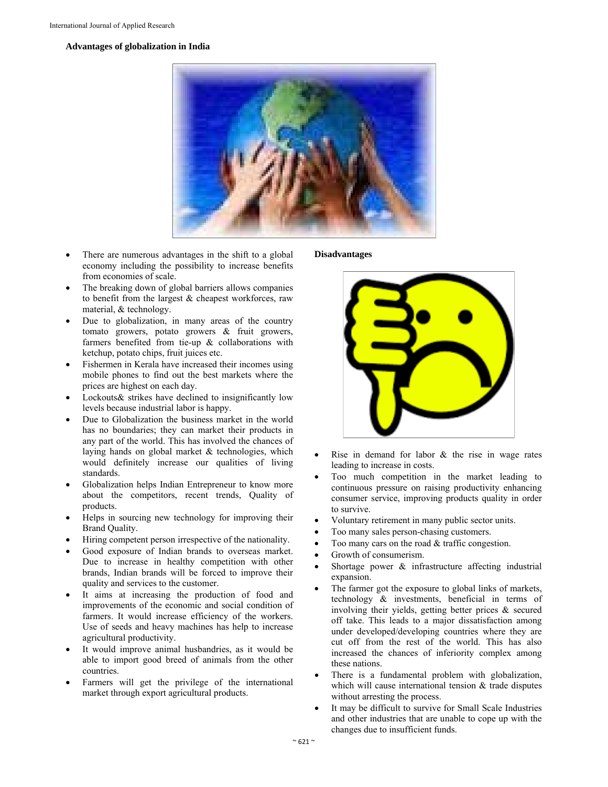# **Advantages of globalization in India**



- There are numerous advantages in the shift to a global economy including the possibility to increase benefits from economies of scale.
- The breaking down of global barriers allows companies to benefit from the largest & cheapest workforces, raw material, & technology.
- Due to globalization, in many areas of the country tomato growers, potato growers & fruit growers, farmers benefited from tie-up & collaborations with ketchup, potato chips, fruit juices etc.
- Fishermen in Kerala have increased their incomes using mobile phones to find out the best markets where the prices are highest on each day.
- Lockouts& strikes have declined to insignificantly low levels because industrial labor is happy.
- Due to Globalization the business market in the world has no boundaries; they can market their products in any part of the world. This has involved the chances of laying hands on global market & technologies, which would definitely increase our qualities of living standards.
- Globalization helps Indian Entrepreneur to know more about the competitors, recent trends, Quality of products.
- Helps in sourcing new technology for improving their Brand Quality.
- Hiring competent person irrespective of the nationality.
- Good exposure of Indian brands to overseas market. Due to increase in healthy competition with other brands, Indian brands will be forced to improve their quality and services to the customer.
- It aims at increasing the production of food and improvements of the economic and social condition of farmers. It would increase efficiency of the workers. Use of seeds and heavy machines has help to increase agricultural productivity.
- It would improve animal husbandries, as it would be able to import good breed of animals from the other countries.
- Farmers will get the privilege of the international market through export agricultural products.

**Disadvantages** 



- Rise in demand for labor & the rise in wage rates leading to increase in costs.
- Too much competition in the market leading to continuous pressure on raising productivity enhancing consumer service, improving products quality in order to survive.
- Voluntary retirement in many public sector units.
- Too many sales person-chasing customers.
- Too many cars on the road & traffic congestion.
- Growth of consumerism.
- Shortage power & infrastructure affecting industrial expansion.
- The farmer got the exposure to global links of markets, technology & investments, beneficial in terms of involving their yields, getting better prices & secured off take. This leads to a major dissatisfaction among under developed/developing countries where they are cut off from the rest of the world. This has also increased the chances of inferiority complex among these nations.
- There is a fundamental problem with globalization, which will cause international tension & trade disputes without arresting the process.
- It may be difficult to survive for Small Scale Industries and other industries that are unable to cope up with the changes due to insufficient funds.